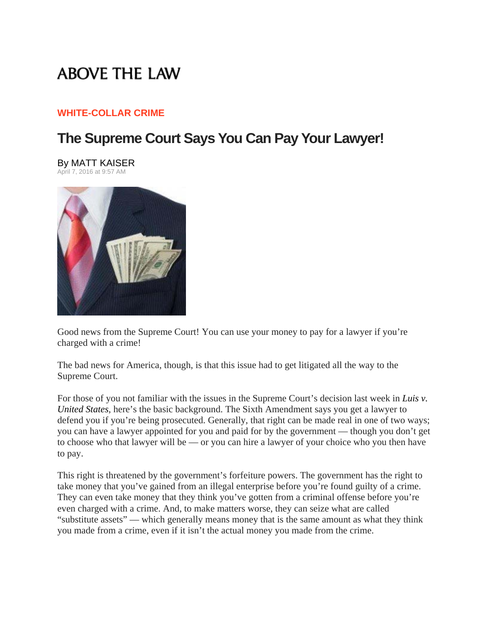# **ABOVE THE LAW**

#### **WHITE-COLLAR CRIME**

## **The Supreme Court Says You Can Pay Your Lawyer!**

### By MATT KAISER





Good news from the Supreme Court! You can use your money to pay for a lawyer if you're charged with a crime!

The bad news for America, though, is that this issue had to get litigated all the way to the Supreme Court.

For those of you not familiar with the issues in the Supreme Court's decision last week in *Luis v. United States*, here's the basic background. The Sixth Amendment says you get a lawyer to defend you if you're being prosecuted. Generally, that right can be made real in one of two ways; you can have a lawyer appointed for you and paid for by the government — though you don't get to choose who that lawyer will be — or you can hire a lawyer of your choice who you then have to pay.

This right is threatened by the government's forfeiture powers. The government has the right to take money that you've gained from an illegal enterprise before you're found guilty of a crime. They can even take money that they think you've gotten from a criminal offense before you're even charged with a crime. And, to make matters worse, they can seize what are called "substitute assets" — which generally means money that is the same amount as what they think you made from a crime, even if it isn't the actual money you made from the crime.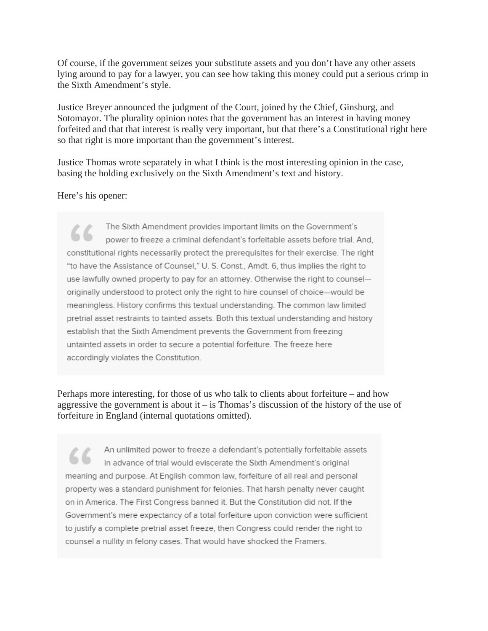Of course, if the government seizes your substitute assets and you don't have any other assets lying around to pay for a lawyer, you can see how taking this money could put a serious crimp in the Sixth Amendment's style.

Justice Breyer announced the judgment of the Court, joined by the Chief, Ginsburg, and Sotomayor. The plurality opinion notes that the government has an interest in having money forfeited and that that interest is really very important, but that there's a Constitutional right here so that right is more important than the government's interest.

Justice Thomas wrote separately in what I think is the most interesting opinion in the case, basing the holding exclusively on the Sixth Amendment's text and history.

#### Here's his opener:

The Sixth Amendment provides important limits on the Government's power to freeze a criminal defendant's forfeitable assets before trial. And. constitutional rights necessarily protect the prerequisites for their exercise. The right "to have the Assistance of Counsel," U. S. Const., Amdt. 6, thus implies the right to use lawfully owned property to pay for an attorney. Otherwise the right to counsel originally understood to protect only the right to hire counsel of choice-would be meaningless. History confirms this textual understanding. The common law limited pretrial asset restraints to tainted assets. Both this textual understanding and history establish that the Sixth Amendment prevents the Government from freezing untainted assets in order to secure a potential forfeiture. The freeze here accordingly violates the Constitution.

Perhaps more interesting, for those of us who talk to clients about forfeiture – and how aggressive the government is about it  $-$  is Thomas's discussion of the history of the use of forfeiture in England (internal quotations omitted).

An unlimited power to freeze a defendant's potentially forfeitable assets in advance of trial would eviscerate the Sixth Amendment's original meaning and purpose. At English common law, forfeiture of all real and personal property was a standard punishment for felonies. That harsh penalty never caught on in America. The First Congress banned it. But the Constitution did not. If the Government's mere expectancy of a total forfeiture upon conviction were sufficient to justify a complete pretrial asset freeze, then Congress could render the right to counsel a nullity in felony cases. That would have shocked the Framers.